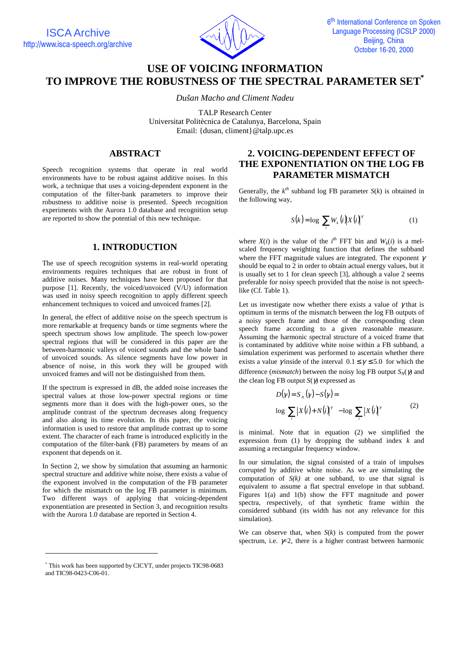

# **USE OF VOICING INFORMATION TO IMPROVE THE ROBUSTNESS OF THE SPECTRAL PARAMETER SET\***

*Dušan Macho and Climent Nadeu* 

TALP Research Center

Universitat Politècnica de Catalunya, Barcelona, Spain Email: {dusan, climent}@talp.upc.es

# **ABSTRACT**

Speech recognition systems that operate in real world environments have to be robust against additive noises. In this work, a technique that uses a voicing-dependent exponent in the computation of the filter-bank parameters to improve their robustness to additive noise is presented. Speech recognition experiments with the Aurora 1.0 database and recognition setup are reported to show the potential of this new technique.

## **1. INTRODUCTION**

The use of speech recognition systems in real-world operating environments requires techniques that are robust in front of additive noises. Many techniques have been proposed for that purpose [1]. Recently, the voiced/unvoiced  $(V/U)$  information was used in noisy speech recognition to apply different speech enhancement techniques to voiced and unvoiced frames [2].

In general, the effect of additive noise on the speech spectrum is more remarkable at frequency bands or time segments where the speech spectrum shows low amplitude. The speech low-power spectral regions that will be considered in this paper are the between-harmonic valleys of voiced sounds and the whole band of unvoiced sounds. As silence segments have low power in absence of noise, in this work they will be grouped with unvoiced frames and will not be distinguished from them.

If the spectrum is expressed in dB, the added noise increases the spectral values at those low-power spectral regions or time segments more than it does with the high-power ones, so the amplitude contrast of the spectrum decreases along frequency and also along its time evolution. In this paper, the voicing information is used to restore that amplitude contrast up to some extent. The character of each frame is introduced explicitly in the computation of the filter-bank (FB) parameters by means of an exponent that depends on it.

In Section 2, we show by simulation that assuming an harmonic spectral structure and additive white noise, there exists a value of the exponent involved in the computation of the FB parameter for which the mismatch on the log FB parameter is minimum. Two different ways of applying that voicing-dependent exponentiation are presented in Section 3, and recognition results with the Aurora 1.0 database are reported in Section 4.

# **2. VOICING-DEPENDENT EFFECT OF THE EXPONENTIATION ON THE LOG FB PARAMETER MISMATCH**

Generally, the  $k^{th}$  subband log FB parameter  $S(k)$  is obtained in the following way,

$$
S(k) = \log \left[ \sum_{i} W_{k}(i) \left| X(i) \right|^{r} \right] \tag{1}
$$

where  $X(i)$  is the value of the  $i^{th}$  FFT bin and  $W_k(i)$  is a melscaled frequency weighting function that defines the subband where the FFT magnitude values are integrated. The exponent  $\gamma$ should be equal to  $\overline{2}$  in order to obtain actual energy values, but it is usually set to 1 for clean speech [3], although a value 2 seems preferable for noisy speech provided that the noise is not speechlike (Cf. Table 1).

Let us investigate now whether there exists a value of  $\gamma$  that is optimum in terms of the mismatch between the log FB outputs of a noisy speech frame and those of the corresponding clean speech frame according to a given reasonable measure. Assuming the harmonic spectral structure of a voiced frame that is contaminated by additive white noise within a FB subband, a simulation experiment was performed to ascertain whether there exists a value *γ* inside of the interval  $0.1 \le \gamma \le 5.0$  for which the difference (*mismatch*) between the noisy log FB output  $S_N(\gamma)$  and the clean log FB output  $S(\gamma)$  expressed as

$$
D(\gamma) = S_N(\gamma) - S(\gamma) =
$$
  
\n
$$
\log \left[ \sum_i |X(i) + N(i)|^{\gamma} \right] - \log \left[ \sum_i |X(i)|^{\gamma} \right]
$$
 (2)

is minimal. Note that in equation (2) we simplified the expression from (1) by dropping the subband index *k* and assuming a rectangular frequency window.

In our simulation, the signal consisted of a train of impulses corrupted by additive white noise. As we are simulating the computation of  $S(k)$  at one subband, to use that signal is equivalent to assume a flat spectral envelope in that subband. Figures  $1(a)$  and  $1(b)$  show the FFT magnitude and power spectra, respectively, of that synthetic frame within the considered subband (its width has not any relevance for this simulation).

We can observe that, when *S*(*k*) is computed from the power spectrum, i.e.  $\not\equiv 2$ , there is a higher contrast between harmonic

-

<sup>\*</sup> This work has been supported by CICYT, under projects TIC98-0683 and TIC98-0423-C06-01.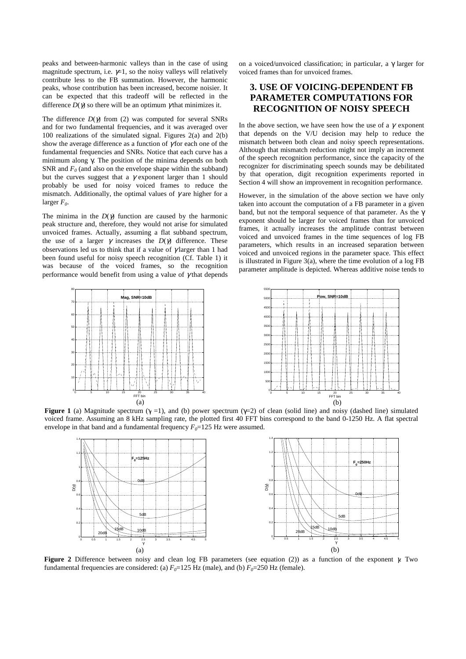peaks and between-harmonic valleys than in the case of using magnitude spectrum, i.e.  $\not\equiv$  1, so the noisy valleys will relatively contribute less to the FB summation. However, the harmonic peaks, whose contribution has been increased, become noisier. It can be expected that this tradeoff will be reflected in the difference  $D(\gamma)$  so there will be an optimum  $\gamma$  that minimizes it.

The difference  $D(\gamma)$  from (2) was computed for several SNRs and for two fundamental frequencies, and it was averaged over 100 realizations of the simulated signal. Figures 2(a) and 2(b) show the average difference as a function of  $\gamma$  for each one of the fundamental frequencies and SNRs. Notice that each curve has a minimum along γ. The position of the minima depends on both SNR and  $F_0$  (and also on the envelope shape within the subband) but the curves suggest that a  $\gamma$  exponent larger than 1 should probably be used for noisy voiced frames to reduce the mismatch. Additionally, the optimal values of  $\gamma$  are higher for a larger  $F<sub>0</sub>$ .

The minima in the  $D(\gamma)$  function are caused by the harmonic peak structure and, therefore, they would not arise for simulated unvoiced frames. Actually, assuming a flat subband spectrum, the use of a larger  $\gamma$  increases the  $D(\gamma)$  difference. These observations led us to think that if a value of  $\gamma$  larger than 1 had been found useful for noisy speech recognition (Cf. Table 1) it was because of the voiced frames, so the recognition performance would benefit from using a value of  $\gamma$  that depends on a voiced/unvoiced classification; in particular, a  $\gamma$  larger for voiced frames than for unvoiced frames.

# **3. USE OF VOICING-DEPENDENT FB PARAMETER COMPUTATIONS FOR RECOGNITION OF NOISY SPEECH**

In the above section, we have seen how the use of a  $\gamma$  exponent that depends on the V/U decision may help to reduce the mismatch between both clean and noisy speech representations. Although that mismatch reduction might not imply an increment of the speech recognition performance, since the capacity of the recognizer for discriminating speech sounds may be debilitated by that operation, digit recognition experiments reported in Section 4 will show an improvement in recognition performance.

However, in the simulation of the above section we have only taken into account the computation of a FB parameter in a given band, but not the temporal sequence of that parameter. As the γ exponent should be larger for voiced frames than for unvoiced frames, it actually increases the amplitude contrast between voiced and unvoiced frames in the time sequences of log FB parameters, which results in an increased separation between voiced and unvoiced regions in the parameter space. This effect is illustrated in Figure 3(a), where the time evolution of a log FB parameter amplitude is depicted. Whereas additive noise tends to



**Figure 1** (a) Magnitude spectrum ( $\gamma = 1$ ), and (b) power spectrum ( $\gamma = 2$ ) of clean (solid line) and noisy (dashed line) simulated voiced frame. Assuming an 8 kHz sampling rate, the plotted first 40 FFT bins correspond to the band 0-1250 Hz. A flat spectral envelope in that band and a fundamental frequency  $F_0 = 125$  Hz were assumed.



**Figure 2** Difference between noisy and clean log FB parameters (see equation (2)) as a function of the exponent γ. Two fundamental frequencies are considered: (a)  $F_0=125$  Hz (male), and (b)  $F_0=250$  Hz (female).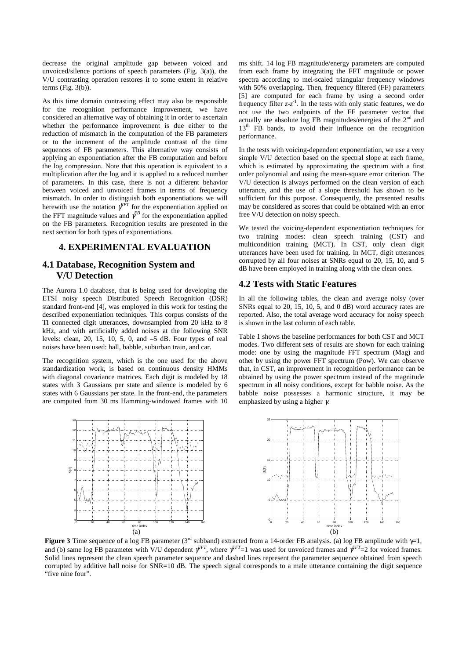decrease the original amplitude gap between voiced and unvoiced/silence portions of speech parameters (Fig. 3(a)), the V/U contrasting operation restores it to some extent in relative terms (Fig.  $3(b)$ ).

As this time domain contrasting effect may also be responsible for the recognition performance improvement, we have considered an alternative way of obtaining it in order to ascertain whether the performance improvement is due either to the reduction of mismatch in the computation of the FB parameters or to the increment of the amplitude contrast of the time sequences of FB parameters. This alternative way consists of applying an exponentiation after the FB computation and before the log compression. Note that this operation is equivalent to a multiplication after the log and it is applied to a reduced number of parameters. In this case, there is not a different behavior between voiced and unvoiced frames in terms of frequency mismatch. In order to distinguish both exponentiations we will herewith use the notation  $\gamma^{FT}$  for the exponentiation applied on the FFT magnitude values and  $\gamma^{FB}$  for the exponentiation applied on the FB parameters. Recognition results are presented in the next section for both types of exponentiations.

### **4. EXPERIMENTAL EVALUATION**

## **4.1 Database, Recognition System and V/U Detection**

The Aurora 1.0 database, that is being used for developing the ETSI noisy speech Distributed Speech Recognition (DSR) standard front-end [4], was employed in this work for testing the described exponentiation techniques. This corpus consists of the TI connected digit utterances, downsampled from 20 kHz to 8 kHz, and with artificially added noises at the following SNR levels: clean, 20, 15, 10, 5, 0, and –5 dB. Four types of real noises have been used: hall, babble, suburban train, and car.

The recognition system, which is the one used for the above standardization work, is based on continuous density HMMs with diagonal covariance matrices. Each digit is modeled by 18 states with 3 Gaussians per state and silence is modeled by 6 states with 6 Gaussians per state. In the front-end, the parameters are computed from 30 ms Hamming-windowed frames with 10

S(3)

ms shift. 14 log FB magnitude/energy parameters are computed from each frame by integrating the FFT magnitude or power spectra according to mel-scaled triangular frequency windows with 50% overlapping. Then, frequency filtered (FF) parameters [5] are computed for each frame by using a second order frequency filter  $z-z<sup>-1</sup>$ . In the tests with only static features, we do not use the two endpoints of the FF parameter vector that actually are absolute log FB magnitudes/energies of the 2nd and 13<sup>th</sup> FB bands, to avoid their influence on the recognition performance.

In the tests with voicing-dependent exponentiation, we use a very simple V/U detection based on the spectral slope at each frame, which is estimated by approximating the spectrum with a first order polynomial and using the mean-square error criterion. The V/U detection is always performed on the clean version of each utterance, and the use of a slope threshold has shown to be sufficient for this purpose. Consequently, the presented results may be considered as scores that could be obtained with an error free V/U detection on noisy speech.

We tested the voicing-dependent exponentiation techniques for two training modes: clean speech training (CST) and multicondition training (MCT). In CST, only clean digit utterances have been used for training. In MCT, digit utterances corrupted by all four noises at SNRs equal to 20, 15, 10, and 5 dB have been employed in training along with the clean ones.

#### **4.2 Tests with Static Features**

In all the following tables, the clean and average noisy (over SNRs equal to 20, 15, 10, 5, and 0 dB) word accuracy rates are reported. Also, the total average word accuracy for noisy speech is shown in the last column of each table.

Table 1 shows the baseline performances for both CST and MCT modes. Two different sets of results are shown for each training mode: one by using the magnitude FFT spectrum (Mag) and other by using the power FFT spectrum (Pow). We can observe that, in CST, an improvement in recognition performance can be obtained by using the power spectrum instead of the magnitude spectrum in all noisy conditions, except for babble noise. As the babble noise possesses a harmonic structure, it may be emphasized by using a higher γ.



**Figure 3** Time sequence of a log FB parameter (3rd subband) extracted from a 14-order FB analysis. (a) log FB amplitude with γ=1, and (b) same log FB parameter with V/U dependent  $\gamma^{FFT}$ , where  $\gamma^{FFT}=1$  was used for unvoiced frames and  $\gamma^{FFT}=2$  for voiced frames. Solid lines represent the clean speech parameter sequence and dashed lines represent the parameter sequence obtained from speech corrupted by additive hall noise for SNR=10 dB. The speech signal corresponds to a male utterance containing the digit sequence "five nine four".